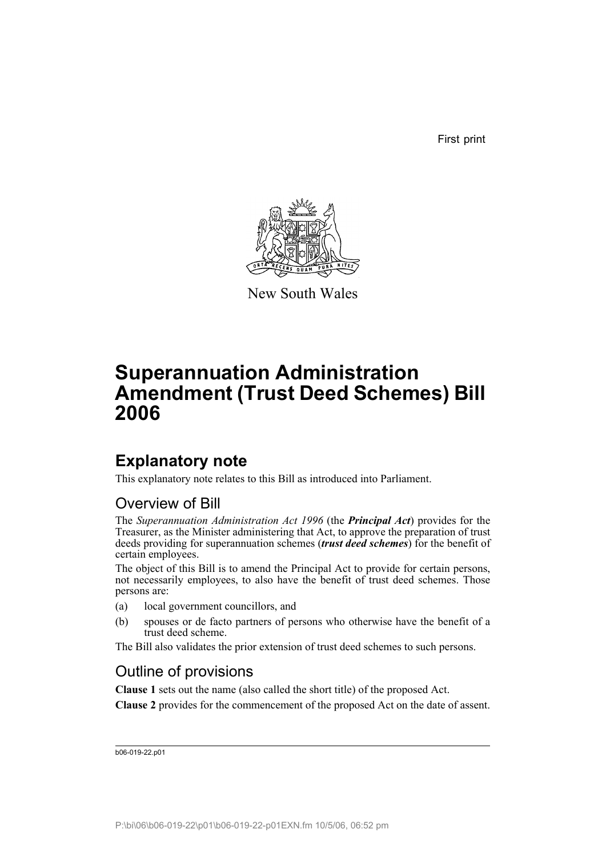First print



New South Wales

# **Superannuation Administration Amendment (Trust Deed Schemes) Bill 2006**

## **Explanatory note**

This explanatory note relates to this Bill as introduced into Parliament.

### Overview of Bill

The *Superannuation Administration Act 1996* (the *Principal Act*) provides for the Treasurer, as the Minister administering that Act, to approve the preparation of trust deeds providing for superannuation schemes (*trust deed schemes*) for the benefit of certain employees.

The object of this Bill is to amend the Principal Act to provide for certain persons, not necessarily employees, to also have the benefit of trust deed schemes. Those persons are:

- (a) local government councillors, and
- (b) spouses or de facto partners of persons who otherwise have the benefit of a trust deed scheme.

The Bill also validates the prior extension of trust deed schemes to such persons.

### Outline of provisions

**Clause 1** sets out the name (also called the short title) of the proposed Act.

**Clause 2** provides for the commencement of the proposed Act on the date of assent.

b06-019-22.p01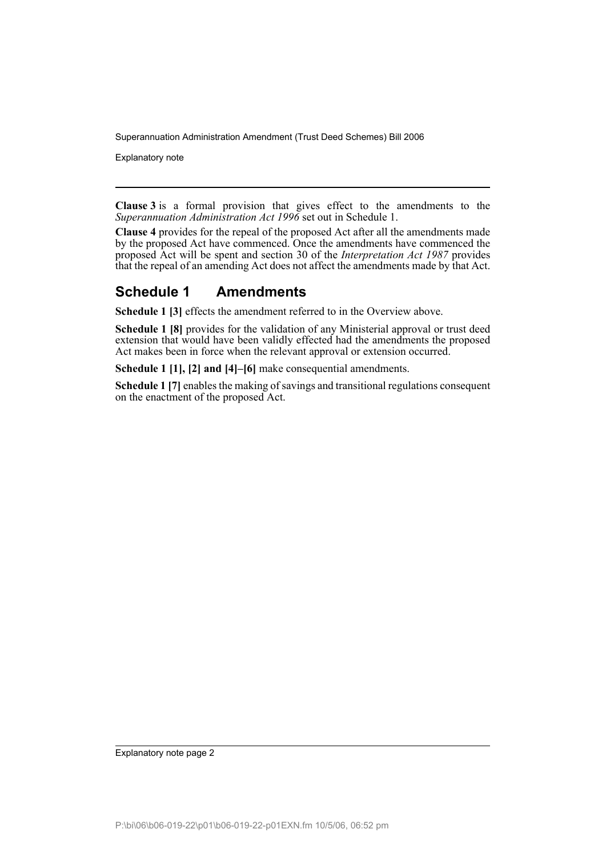Explanatory note

**Clause 3** is a formal provision that gives effect to the amendments to the *Superannuation Administration Act 1996* set out in Schedule 1.

**Clause 4** provides for the repeal of the proposed Act after all the amendments made by the proposed Act have commenced. Once the amendments have commenced the proposed Act will be spent and section 30 of the *Interpretation Act 1987* provides that the repeal of an amending Act does not affect the amendments made by that Act.

### **Schedule 1 Amendments**

**Schedule 1 [3]** effects the amendment referred to in the Overview above.

**Schedule 1 [8]** provides for the validation of any Ministerial approval or trust deed extension that would have been validly effected had the amendments the proposed Act makes been in force when the relevant approval or extension occurred.

**Schedule 1 [1], [2] and [4]–[6]** make consequential amendments.

**Schedule 1 [7]** enables the making of savings and transitional regulations consequent on the enactment of the proposed Act.

Explanatory note page 2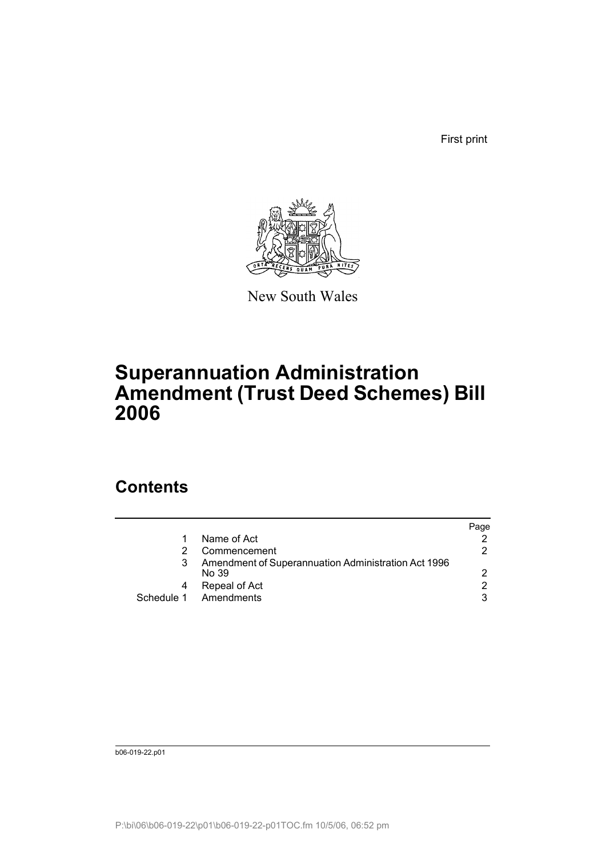First print



New South Wales

# **Superannuation Administration Amendment (Trust Deed Schemes) Bill 2006**

## **Contents**

|                                                              | Page          |
|--------------------------------------------------------------|---------------|
| Name of Act                                                  |               |
| Commencement                                                 | 2             |
| Amendment of Superannuation Administration Act 1996<br>No 39 | 2             |
| Repeal of Act                                                | $\mathcal{P}$ |
| Schedule 1 Amendments                                        | 3             |

b06-019-22.p01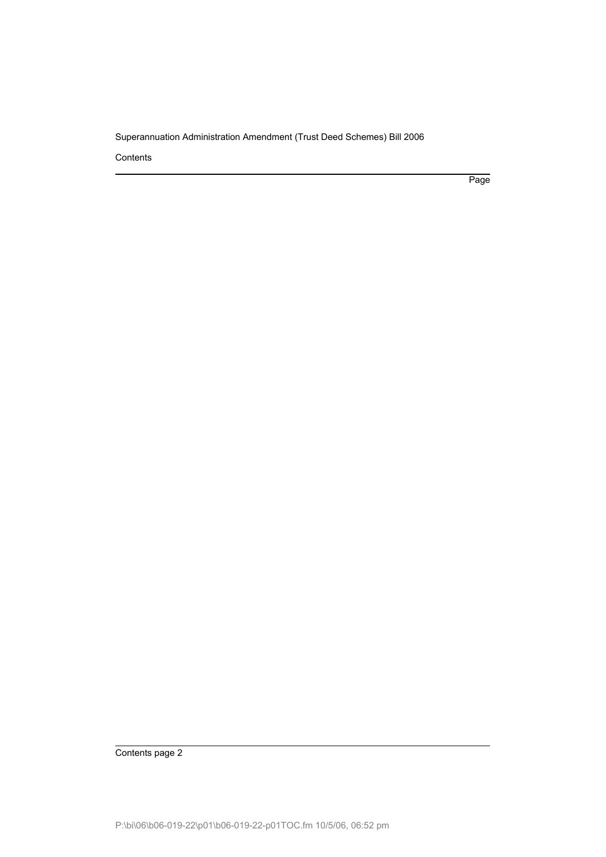Contents

Page

Contents page 2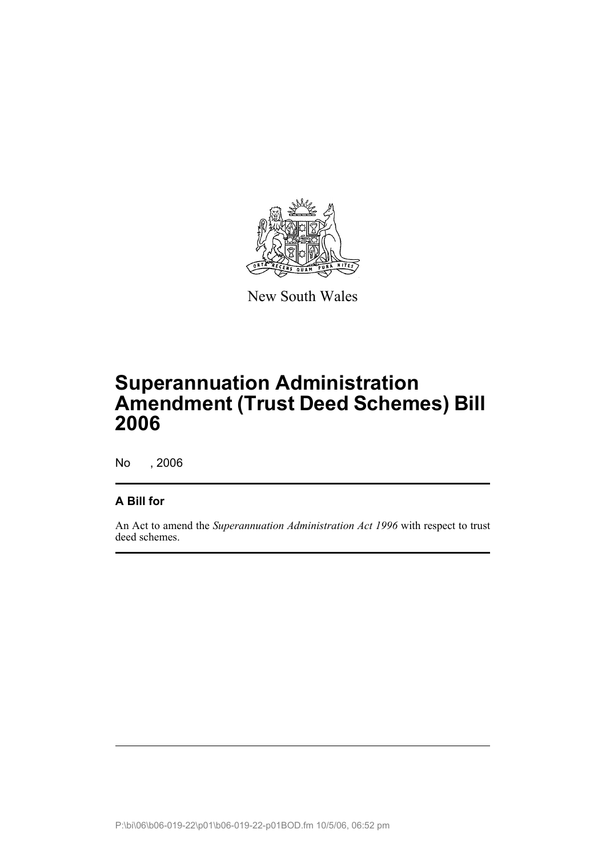

New South Wales

# **Superannuation Administration Amendment (Trust Deed Schemes) Bill 2006**

No , 2006

### **A Bill for**

An Act to amend the *Superannuation Administration Act 1996* with respect to trust deed schemes.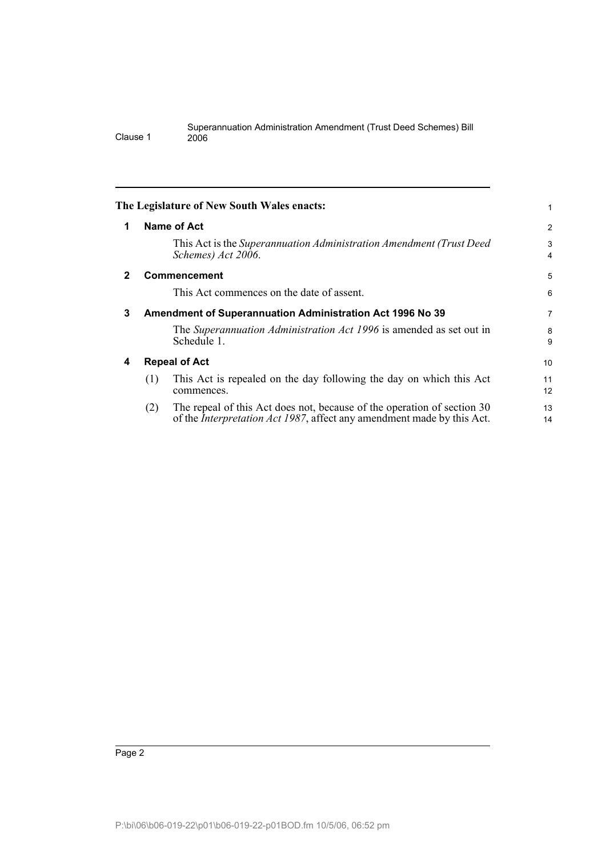<span id="page-5-3"></span><span id="page-5-2"></span><span id="page-5-1"></span><span id="page-5-0"></span>

| 1            | <b>Name of Act</b>                                                                                                                                               |                |
|--------------|------------------------------------------------------------------------------------------------------------------------------------------------------------------|----------------|
|              |                                                                                                                                                                  | $\overline{c}$ |
|              | This Act is the Superannuation Administration Amendment (Trust Deed)<br>Schemes) Act 2006.                                                                       | 3<br>4         |
| $\mathbf{2}$ | <b>Commencement</b>                                                                                                                                              | 5              |
|              | This Act commences on the date of assent.                                                                                                                        | 6              |
| 3            | <b>Amendment of Superannuation Administration Act 1996 No 39</b>                                                                                                 |                |
|              | The Superannuation Administration Act 1996 is amended as set out in<br>Schedule 1.                                                                               | 8<br>9         |
| 4            | <b>Repeal of Act</b>                                                                                                                                             | 10             |
|              | This Act is repealed on the day following the day on which this Act<br>(1)<br>commences.                                                                         | 11<br>12       |
|              | The repeal of this Act does not, because of the operation of section 30<br>(2)<br>of the <i>Interpretation Act 1987</i> , affect any amendment made by this Act. | 13<br>14       |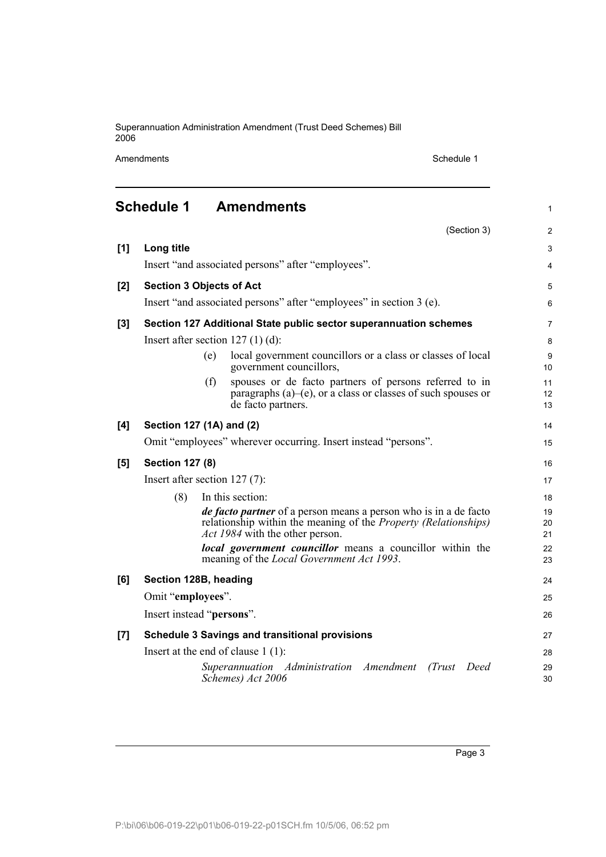Amendments Schedule 1

<span id="page-6-0"></span>

|     | Schedule 1                                                          |     | <b>Amendments</b>                                                                                                                                                                    | $\mathbf{1}$   |
|-----|---------------------------------------------------------------------|-----|--------------------------------------------------------------------------------------------------------------------------------------------------------------------------------------|----------------|
|     |                                                                     |     | (Section 3)                                                                                                                                                                          | $\overline{2}$ |
| [1] | Long title                                                          |     |                                                                                                                                                                                      | 3              |
|     |                                                                     |     | Insert "and associated persons" after "employees".                                                                                                                                   | 4              |
| [2] | <b>Section 3 Objects of Act</b>                                     |     |                                                                                                                                                                                      | 5              |
|     | Insert "and associated persons" after "employees" in section 3 (e). |     |                                                                                                                                                                                      | 6              |
| [3] | Section 127 Additional State public sector superannuation schemes   |     |                                                                                                                                                                                      | $\overline{7}$ |
|     | Insert after section $127(1)(d)$ :                                  |     |                                                                                                                                                                                      |                |
|     |                                                                     | (e) | local government councillors or a class or classes of local<br>government councillors,                                                                                               | 9<br>10        |
|     |                                                                     | (f) | spouses or de facto partners of persons referred to in<br>paragraphs (a)–(e), or a class or classes of such spouses or<br>de facto partners.                                         | 11<br>12<br>13 |
| [4] | Section 127 (1A) and (2)                                            |     |                                                                                                                                                                                      | 14             |
|     | Omit "employees" wherever occurring. Insert instead "persons".      |     |                                                                                                                                                                                      | 15             |
| [5] | <b>Section 127 (8)</b>                                              |     |                                                                                                                                                                                      | 16             |
|     | Insert after section $127(7)$ :                                     |     |                                                                                                                                                                                      |                |
|     | (8)                                                                 |     | In this section:                                                                                                                                                                     | 18             |
|     |                                                                     |     | <i>de facto partner</i> of a person means a person who is in a de facto<br>relationship within the meaning of the <i>Property (Relationships)</i><br>Act 1984 with the other person. | 19<br>20<br>21 |
|     |                                                                     |     | local government councillor means a councillor within the<br>meaning of the <i>Local Government Act 1993</i> .                                                                       | 22<br>23       |
| [6] | Section 128B, heading                                               |     |                                                                                                                                                                                      | 24             |
|     | Omit "employees".                                                   |     |                                                                                                                                                                                      | 25             |
|     | Insert instead "persons".                                           |     |                                                                                                                                                                                      | 26             |
| [7] | <b>Schedule 3 Savings and transitional provisions</b>               |     |                                                                                                                                                                                      | 27             |
|     | Insert at the end of clause $1(1)$ :                                |     |                                                                                                                                                                                      |                |
|     |                                                                     |     | Superannuation Administration Amendment<br>(Trust)<br>Deed<br>Schemes) Act 2006                                                                                                      | 29<br>30       |

Page 3